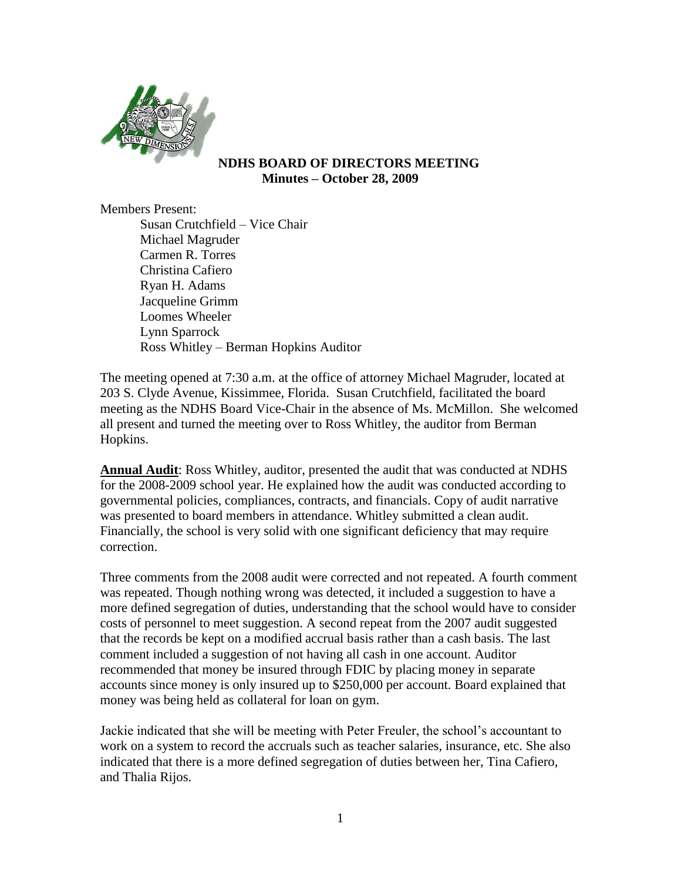

## **NDHS BOARD OF DIRECTORS MEETING Minutes – October 28, 2009**

Members Present:

Susan Crutchfield – Vice Chair Michael Magruder Carmen R. Torres Christina Cafiero Ryan H. Adams Jacqueline Grimm Loomes Wheeler Lynn Sparrock Ross Whitley – Berman Hopkins Auditor

The meeting opened at 7:30 a.m. at the office of attorney Michael Magruder, located at 203 S. Clyde Avenue, Kissimmee, Florida. Susan Crutchfield, facilitated the board meeting as the NDHS Board Vice-Chair in the absence of Ms. McMillon. She welcomed all present and turned the meeting over to Ross Whitley, the auditor from Berman Hopkins.

**Annual Audit**: Ross Whitley, auditor, presented the audit that was conducted at NDHS for the 2008-2009 school year. He explained how the audit was conducted according to governmental policies, compliances, contracts, and financials. Copy of audit narrative was presented to board members in attendance. Whitley submitted a clean audit. Financially, the school is very solid with one significant deficiency that may require correction.

Three comments from the 2008 audit were corrected and not repeated. A fourth comment was repeated. Though nothing wrong was detected, it included a suggestion to have a more defined segregation of duties, understanding that the school would have to consider costs of personnel to meet suggestion. A second repeat from the 2007 audit suggested that the records be kept on a modified accrual basis rather than a cash basis. The last comment included a suggestion of not having all cash in one account. Auditor recommended that money be insured through FDIC by placing money in separate accounts since money is only insured up to \$250,000 per account. Board explained that money was being held as collateral for loan on gym.

Jackie indicated that she will be meeting with Peter Freuler, the school's accountant to work on a system to record the accruals such as teacher salaries, insurance, etc. She also indicated that there is a more defined segregation of duties between her, Tina Cafiero, and Thalia Rijos.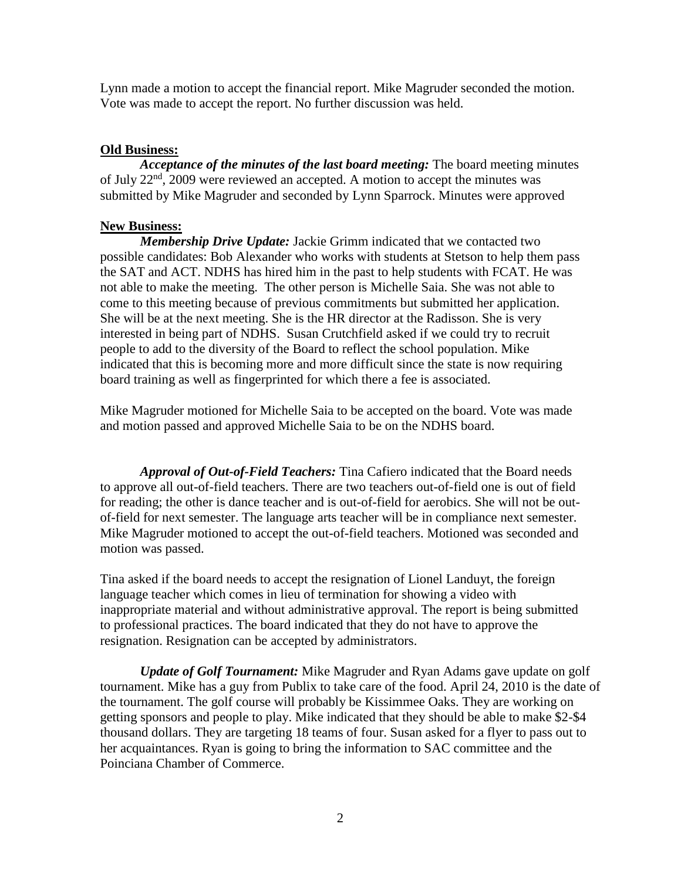Lynn made a motion to accept the financial report. Mike Magruder seconded the motion. Vote was made to accept the report. No further discussion was held.

## **Old Business:**

*Acceptance of the minutes of the last board meeting:* The board meeting minutes of July 22<sup>nd</sup>, 2009 were reviewed an accepted. A motion to accept the minutes was submitted by Mike Magruder and seconded by Lynn Sparrock. Minutes were approved

## **New Business:**

*Membership Drive Update:* Jackie Grimm indicated that we contacted two possible candidates: Bob Alexander who works with students at Stetson to help them pass the SAT and ACT. NDHS has hired him in the past to help students with FCAT. He was not able to make the meeting. The other person is Michelle Saia. She was not able to come to this meeting because of previous commitments but submitted her application. She will be at the next meeting. She is the HR director at the Radisson. She is very interested in being part of NDHS. Susan Crutchfield asked if we could try to recruit people to add to the diversity of the Board to reflect the school population. Mike indicated that this is becoming more and more difficult since the state is now requiring board training as well as fingerprinted for which there a fee is associated.

Mike Magruder motioned for Michelle Saia to be accepted on the board. Vote was made and motion passed and approved Michelle Saia to be on the NDHS board.

*Approval of Out-of-Field Teachers:* Tina Cafiero indicated that the Board needs to approve all out-of-field teachers. There are two teachers out-of-field one is out of field for reading; the other is dance teacher and is out-of-field for aerobics. She will not be outof-field for next semester. The language arts teacher will be in compliance next semester. Mike Magruder motioned to accept the out-of-field teachers. Motioned was seconded and motion was passed.

Tina asked if the board needs to accept the resignation of Lionel Landuyt, the foreign language teacher which comes in lieu of termination for showing a video with inappropriate material and without administrative approval. The report is being submitted to professional practices. The board indicated that they do not have to approve the resignation. Resignation can be accepted by administrators.

*Update of Golf Tournament:* Mike Magruder and Ryan Adams gave update on golf tournament. Mike has a guy from Publix to take care of the food. April 24, 2010 is the date of the tournament. The golf course will probably be Kissimmee Oaks. They are working on getting sponsors and people to play. Mike indicated that they should be able to make \$2-\$4 thousand dollars. They are targeting 18 teams of four. Susan asked for a flyer to pass out to her acquaintances. Ryan is going to bring the information to SAC committee and the Poinciana Chamber of Commerce.